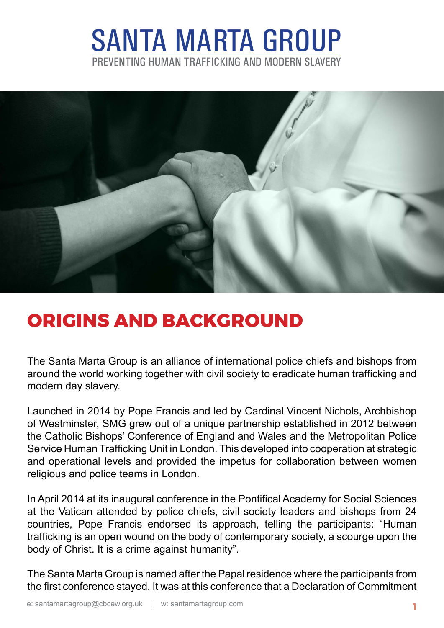## santa marta group preventing human trafficking and modern slavery



## **origins and background**

The Santa Marta Group is an alliance of international police chiefs and bishops from around the world working together with civil society to eradicate human trafficking and modern day slavery.

Launched in 2014 by Pope Francis and led by Cardinal Vincent Nichols, Archbishop of Westminster, SMG grew out of a unique partnership established in 2012 between the Catholic Bishops' Conference of England and Wales and the Metropolitan Police Service Human Trafficking Unit in London. This developed into cooperation at strategic and operational levels and provided the impetus for collaboration between women religious and police teams in London.

In April 2014 at its inaugural conference in the Pontifical Academy for Social Sciences at the Vatican attended by police chiefs, civil society leaders and bishops from 24 countries, Pope Francis endorsed its approach, telling the participants: "Human trafficking is an open wound on the body of contemporary society, a scourge upon the body of Christ. It is a crime against humanity".

The Santa Marta Group is named after the Papal residence where the participants from the first conference stayed. It was at this conference that a Declaration of Commitment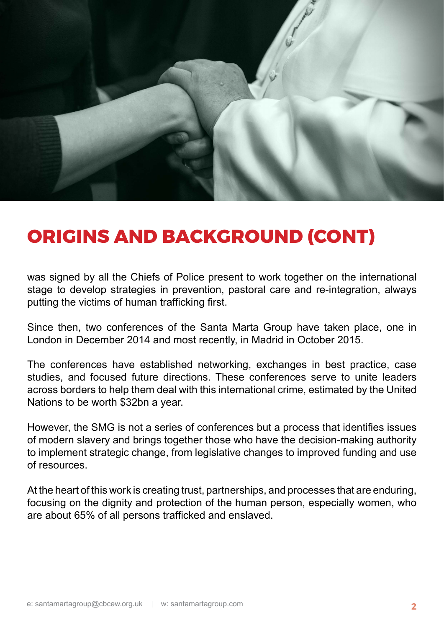

## **origins and background (cont)**

was signed by all the Chiefs of Police present to work together on the international stage to develop strategies in prevention, pastoral care and re-integration, always putting the victims of human trafficking first.

Since then, two conferences of the Santa Marta Group have taken place, one in London in December 2014 and most recently, in Madrid in October 2015.

The conferences have established networking, exchanges in best practice, case studies, and focused future directions. These conferences serve to unite leaders across borders to help them deal with this international crime, estimated by the United Nations to be worth \$32bn a year.

However, the SMG is not a series of conferences but a process that identifies issues of modern slavery and brings together those who have the decision-making authority to implement strategic change, from legislative changes to improved funding and use of resources.

At the heart of this work is creating trust, partnerships, and processes that are enduring, focusing on the dignity and protection of the human person, especially women, who are about 65% of all persons trafficked and enslaved.